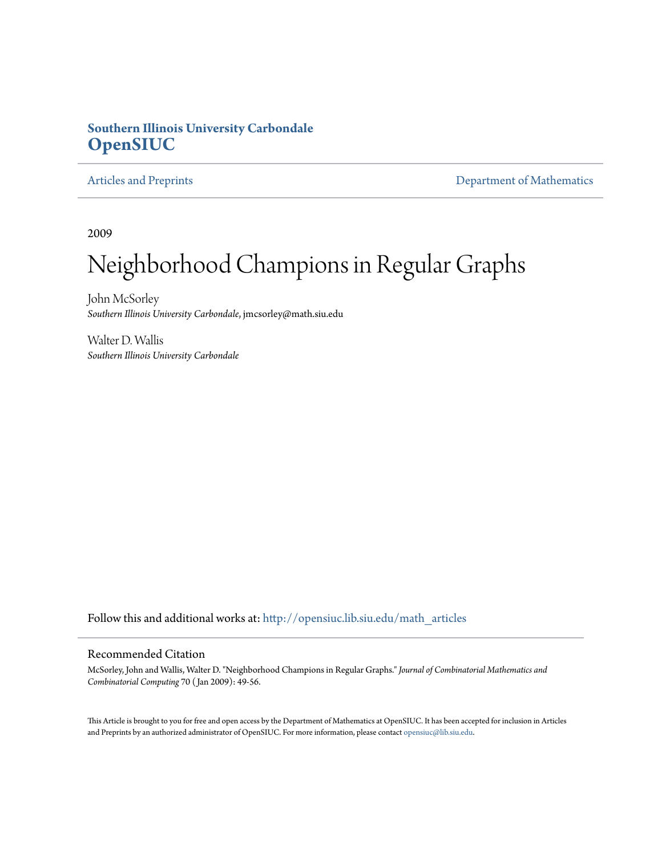### **Southern Illinois University Carbondale [OpenSIUC](http://opensiuc.lib.siu.edu?utm_source=opensiuc.lib.siu.edu%2Fmath_articles%2F118&utm_medium=PDF&utm_campaign=PDFCoverPages)**

[Articles and Preprints](http://opensiuc.lib.siu.edu/math_articles?utm_source=opensiuc.lib.siu.edu%2Fmath_articles%2F118&utm_medium=PDF&utm_campaign=PDFCoverPages) **[Department of Mathematics](http://opensiuc.lib.siu.edu/math?utm_source=opensiuc.lib.siu.edu%2Fmath_articles%2F118&utm_medium=PDF&utm_campaign=PDFCoverPages)** 

2009

# Neighborhood Champions in Regular Graphs

John McSorley *Southern Illinois University Carbondale*, jmcsorley@math.siu.edu

Walter D. Wallis *Southern Illinois University Carbondale*

Follow this and additional works at: [http://opensiuc.lib.siu.edu/math\\_articles](http://opensiuc.lib.siu.edu/math_articles?utm_source=opensiuc.lib.siu.edu%2Fmath_articles%2F118&utm_medium=PDF&utm_campaign=PDFCoverPages)

#### Recommended Citation

McSorley, John and Wallis, Walter D. "Neighborhood Champions in Regular Graphs." *Journal of Combinatorial Mathematics and Combinatorial Computing* 70 ( Jan 2009): 49-56.

This Article is brought to you for free and open access by the Department of Mathematics at OpenSIUC. It has been accepted for inclusion in Articles and Preprints by an authorized administrator of OpenSIUC. For more information, please contact [opensiuc@lib.siu.edu](mailto:opensiuc@lib.siu.edu).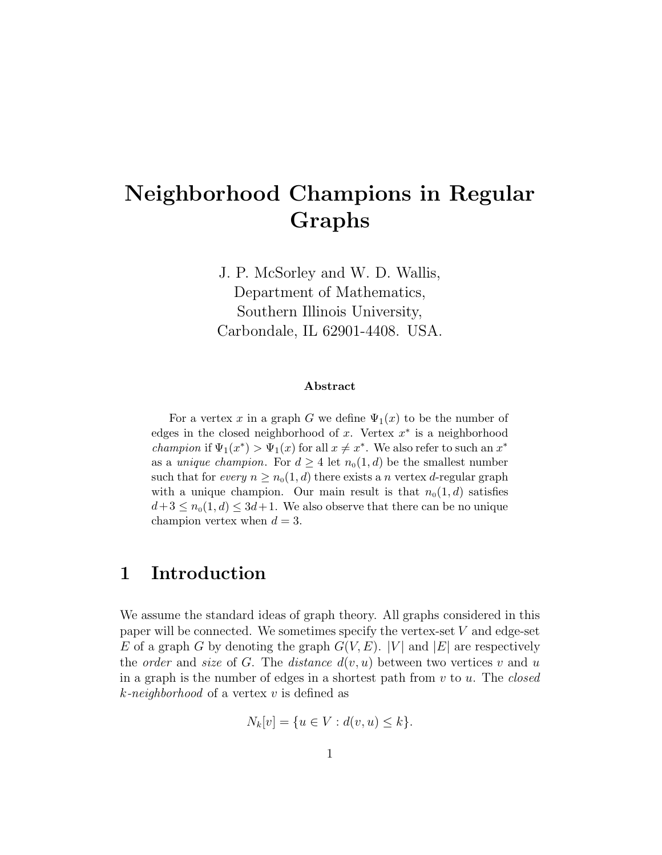# **Neighborhood Champions in Regular Graphs**

J. P. McSorley and W. D. Wallis, Department of Mathematics, Southern Illinois University, Carbondale, IL 62901-4408. USA.

#### **Abstract**

For a vertex x in a graph G we define  $\Psi_1(x)$  to be the number of edges in the closed neighborhood of x. Vertex  $x^*$  is a neighborhood *champion* if  $\Psi_1(x^*) > \Psi_1(x)$  for all  $x \neq x^*$ . We also refer to such an  $x^*$ as a *unique champion*. For  $d \geq 4$  let  $n_0(1, d)$  be the smallest number such that for every  $n \geq n_0(1, d)$  there exists a n vertex d-regular graph with a unique champion. Our main result is that  $n_0(1, d)$  satisfies  $d+3 \leq n_0(1, d) \leq 3d+1$ . We also observe that there can be no unique champion vertex when  $d = 3$ .

# **1 Introduction**

We assume the standard ideas of graph theory. All graphs considered in this paper will be connected. We sometimes specify the vertex-set  $V$  and edge-set E of a graph G by denoting the graph  $G(V, E)$ . |V| and |E| are respectively the *order* and *size* of G. The *distance*  $d(v, u)$  between two vertices v and u in a graph is the number of edges in a shortest path from v to u. The *closed* k*-neighborhood* of a vertex v is defined as

$$
N_k[v] = \{ u \in V : d(v, u) \le k \}.
$$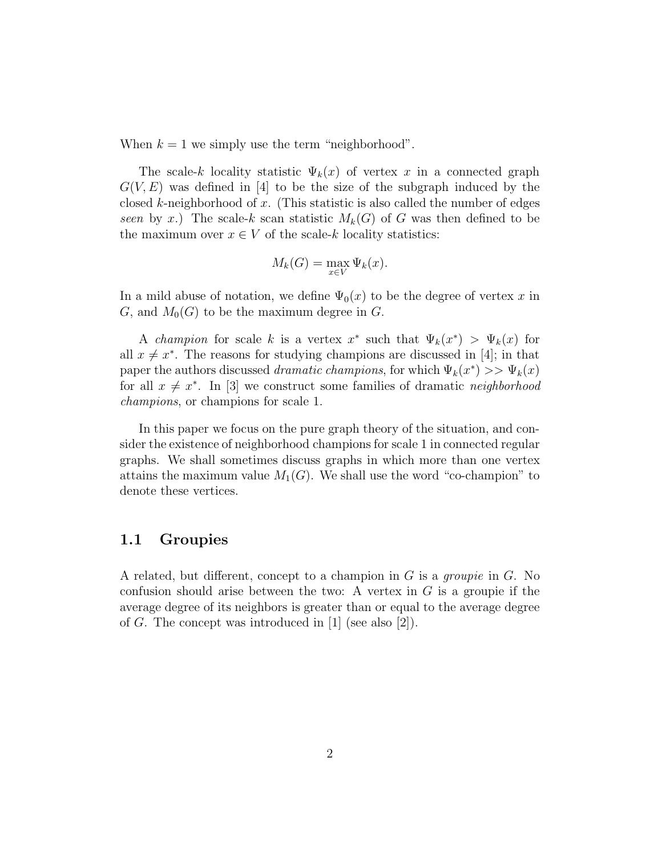When  $k = 1$  we simply use the term "neighborhood".

The scale-k locality statistic  $\Psi_k(x)$  of vertex x in a connected graph  $G(V, E)$  was defined in [4] to be the size of the subgraph induced by the closed k-neighborhood of x. (This statistic is also called the number of edges *seen* by x.) The scale-k scan statistic  $M_k(G)$  of G was then defined to be the maximum over  $x \in V$  of the scale-k locality statistics:

$$
M_k(G) = \max_{x \in V} \Psi_k(x).
$$

In a mild abuse of notation, we define  $\Psi_0(x)$  to be the degree of vertex x in G, and  $M_0(G)$  to be the maximum degree in G.

A *champion* for scale k is a vertex  $x^*$  such that  $\Psi_k(x^*) > \Psi_k(x)$  for all  $x \neq x^*$ . The reasons for studying champions are discussed in [4]; in that paper the authors discussed *dramatic champions*, for which  $\Psi_k(x^*) >> \Psi_k(x)$ for all  $x \neq x^*$ . In [3] we construct some families of dramatic *neighborhood champions*, or champions for scale 1.

In this paper we focus on the pure graph theory of the situation, and consider the existence of neighborhood champions for scale 1 in connected regular graphs. We shall sometimes discuss graphs in which more than one vertex attains the maximum value  $M_1(G)$ . We shall use the word "co-champion" to denote these vertices.

### **1.1 Groupies**

A related, but different, concept to a champion in G is a *groupie* in G. No confusion should arise between the two: A vertex in  $G$  is a grouple if the average degree of its neighbors is greater than or equal to the average degree of G. The concept was introduced in [1] (see also [2]).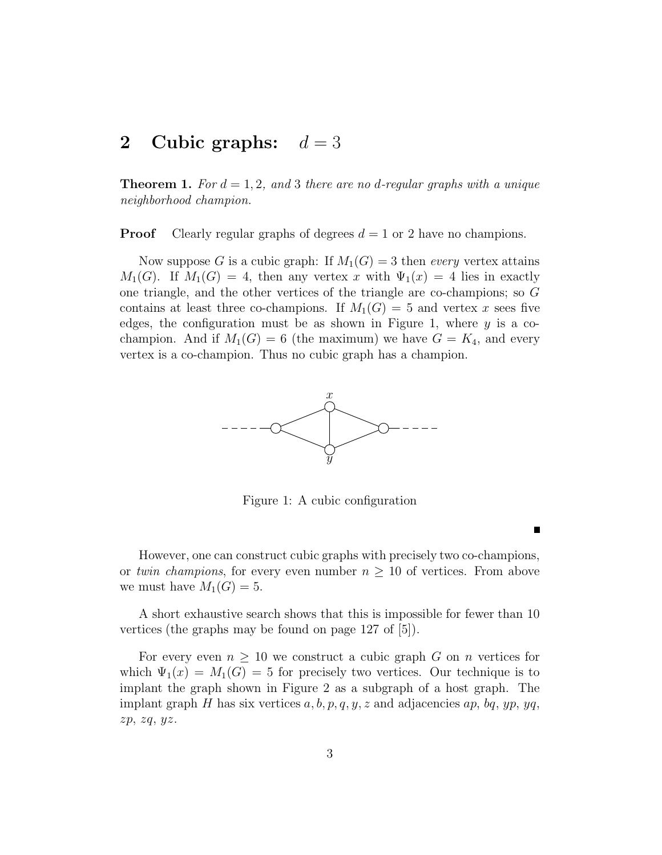# **2** Cubic graphs:  $d = 3$

**Theorem 1.** For  $d = 1, 2$ , and 3 there are no d-regular graphs with a unique *neighborhood champion.*

**Proof** Clearly regular graphs of degrees  $d = 1$  or 2 have no champions.

Now suppose G is a cubic graph: If  $M_1(G) = 3$  then *every* vertex attains  $M_1(G)$ . If  $M_1(G) = 4$ , then any vertex x with  $\Psi_1(x) = 4$  lies in exactly one triangle, and the other vertices of the triangle are co-champions; so G contains at least three co-champions. If  $M_1(G) = 5$  and vertex x sees five edges, the configuration must be as shown in Figure 1, where  $y$  is a cochampion. And if  $M_1(G) = 6$  (the maximum) we have  $G = K_4$ , and every vertex is a co-champion. Thus no cubic graph has a champion.



Figure 1: A cubic configuration

However, one can construct cubic graphs with precisely two co-champions, or *twin champions*, for every even number  $n \geq 10$  of vertices. From above we must have  $M_1(G) = 5$ .

A short exhaustive search shows that this is impossible for fewer than 10 vertices (the graphs may be found on page 127 of [5]).

For every even  $n \geq 10$  we construct a cubic graph G on n vertices for which  $\Psi_1(x) = M_1(G) = 5$  for precisely two vertices. Our technique is to implant the graph shown in Figure 2 as a subgraph of a host graph. The implant graph H has six vertices  $a, b, p, q, y, z$  and adjacencies  $ap, bq, yp, yq$ ,  $zp, zq, yz.$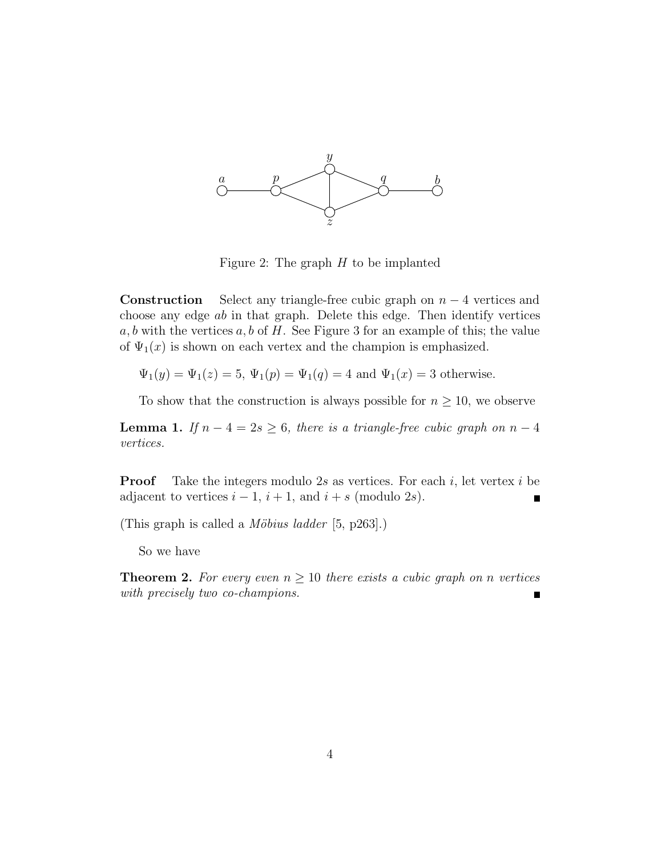

Figure 2: The graph  $H$  to be implanted

**Construction** Select any triangle-free cubic graph on  $n - 4$  vertices and choose any edge ab in that graph. Delete this edge. Then identify vertices  $a, b$  with the vertices  $a, b$  of H. See Figure 3 for an example of this; the value of  $\Psi_1(x)$  is shown on each vertex and the champion is emphasized.

 $\Psi_1(y) = \Psi_1(z) = 5, \Psi_1(p) = \Psi_1(q) = 4$  and  $\Psi_1(x) = 3$  otherwise.

To show that the construction is always possible for  $n \geq 10$ , we observe

**Lemma 1.** *If*  $n - 4 = 2s \ge 6$ *, there is a triangle-free cubic graph on*  $n - 4$ *vertices.*

**Proof** Take the integers modulo 2s as vertices. For each i, let vertex i be adjacent to vertices  $i - 1$ ,  $i + 1$ , and  $i + s$  (modulo 2s).

(This graph is called a *M¨obius ladder* [5, p263].)

So we have

**Theorem 2.** For every even  $n \geq 10$  there exists a cubic graph on n vertices *with precisely two co-champions.*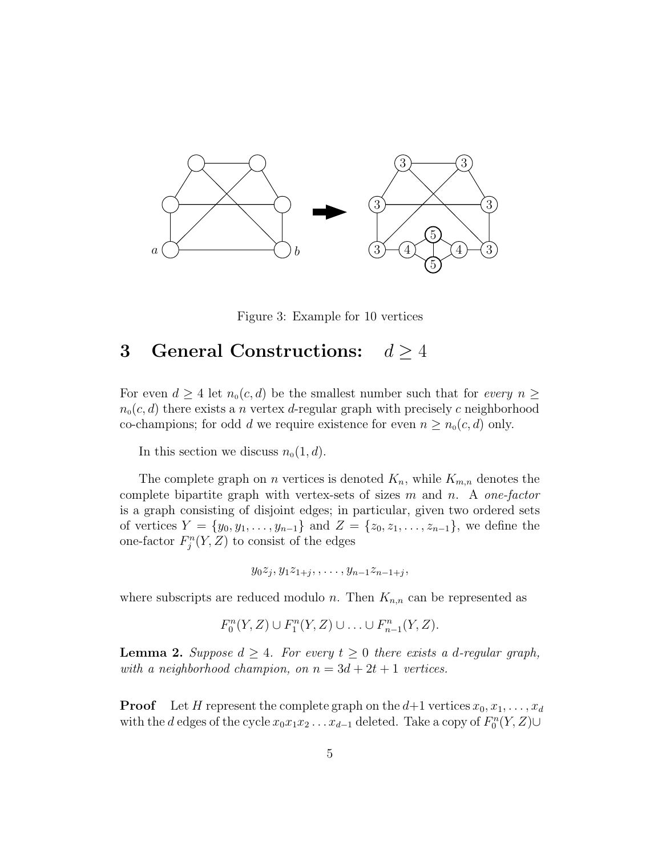

Figure 3: Example for 10 vertices

## **3 General Constructions:**  $d \geq 4$

For even  $d \geq 4$  let  $n_0(c,d)$  be the smallest number such that for *every*  $n \geq$  $n_0(c, d)$  there exists a n vertex d-regular graph with precisely c neighborhood co-champions; for odd d we require existence for even  $n \geq n_0(c, d)$  only.

In this section we discuss  $n_0(1, d)$ .

The complete graph on *n* vertices is denoted  $K_n$ , while  $K_{m,n}$  denotes the complete bipartite graph with vertex-sets of sizes m and n. A *one-factor* is a graph consisting of disjoint edges; in particular, given two ordered sets of vertices  $Y = \{y_0, y_1, \ldots, y_{n-1}\}\$ and  $Z = \{z_0, z_1, \ldots, z_{n-1}\}\$ , we define the one-factor  $F_j^n(Y, Z)$  to consist of the edges

$$
y_0z_j, y_1z_{1+j}, \ldots, y_{n-1}z_{n-1+j},
$$

where subscripts are reduced modulo n. Then  $K_{n,n}$  can be represented as

$$
F_0^n(Y,Z) \cup F_1^n(Y,Z) \cup \ldots \cup F_{n-1}^n(Y,Z).
$$

**Lemma 2.** *Suppose*  $d \geq 4$ *. For every*  $t \geq 0$  *there exists* a *d*-regular graph, *with a neighborhood champion, on*  $n = 3d + 2t + 1$  *vertices.* 

**Proof** Let H represent the complete graph on the  $d+1$  vertices  $x_0, x_1, \ldots, x_d$ with the d edges of the cycle  $x_0x_1x_2 \ldots x_{d-1}$  deleted. Take a copy of  $F_0^n(Y, Z) \cup$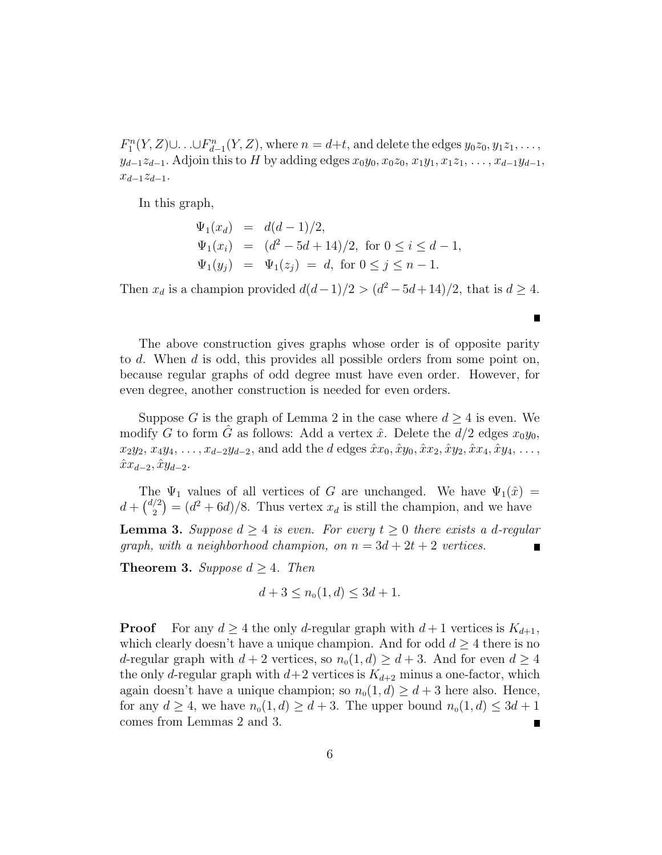$F_1^n(Y, Z) \cup \ldots \cup F_{d-1}^n(Y, Z)$ , where  $n = d+t$ , and delete the edges  $y_0z_0, y_1z_1, \ldots$ ,  $y_{d-1}z_{d-1}$ . Adjoin this to H by adding edges  $x_0y_0, x_0z_0, x_1y_1, x_1z_1, \ldots, x_{d-1}y_{d-1}$ ,  $x_{d-1}z_{d-1}$ .

In this graph,

$$
\Psi_1(x_d) = d(d-1)/2,
$$
  
\n
$$
\Psi_1(x_i) = (d^2 - 5d + 14)/2, \text{ for } 0 \le i \le d-1,
$$
  
\n
$$
\Psi_1(y_j) = \Psi_1(z_j) = d, \text{ for } 0 \le j \le n-1.
$$

Then  $x_d$  is a champion provided  $d(d-1)/2 > (d^2-5d+14)/2$ , that is  $d \geq 4$ .

г

The above construction gives graphs whose order is of opposite parity to d. When d is odd, this provides all possible orders from some point on, because regular graphs of odd degree must have even order. However, for even degree, another construction is needed for even orders.

Suppose G is the graph of Lemma 2 in the case where  $d \geq 4$  is even. We modify G to form G as follows: Add a vertex  $\hat{x}$ . Delete the  $d/2$  edges  $x_0y_0$ ,  $x_2y_2, x_4y_4, \ldots, x_{d-2}y_{d-2}$ , and add the d edges  $\hat{x}x_0, \hat{x}y_0, \hat{x}x_2, \hat{x}y_2, \hat{x}x_4, \hat{x}y_4, \ldots$  $\hat{x}x_{d-2}, \hat{x}y_{d-2}.$ 

The  $\Psi_1$  values of all vertices of G are unchanged. We have  $\Psi_1(\hat{x}) =$  $d + \binom{d/2}{2}$  $= (d^2 + 6d)/8$ . Thus vertex  $x_d$  is still the champion, and we have

**Lemma 3.** Suppose  $d \geq 4$  is even. For every  $t \geq 0$  there exists a d-regular *graph, with a neighborhood champion, on*  $n = 3d + 2t + 2$  *vertices.* 

**Theorem 3.** *Suppose*  $d \geq 4$ *. Then* 

$$
d + 3 \le n_0(1, d) \le 3d + 1.
$$

**Proof** For any  $d \geq 4$  the only *d*-regular graph with  $d+1$  vertices is  $K_{d+1}$ , which clearly doesn't have a unique champion. And for odd  $d \geq 4$  there is no d-regular graph with  $d+2$  vertices, so  $n_0(1, d) \geq d+3$ . And for even  $d \geq 4$ the only d-regular graph with  $d+2$  vertices is  $K_{d+2}$  minus a one-factor, which again doesn't have a unique champion; so  $n_0(1, d) \geq d + 3$  here also. Hence, for any  $d \geq 4$ , we have  $n_0(1, d) \geq d + 3$ . The upper bound  $n_0(1, d) \leq 3d + 1$ comes from Lemmas 2 and 3.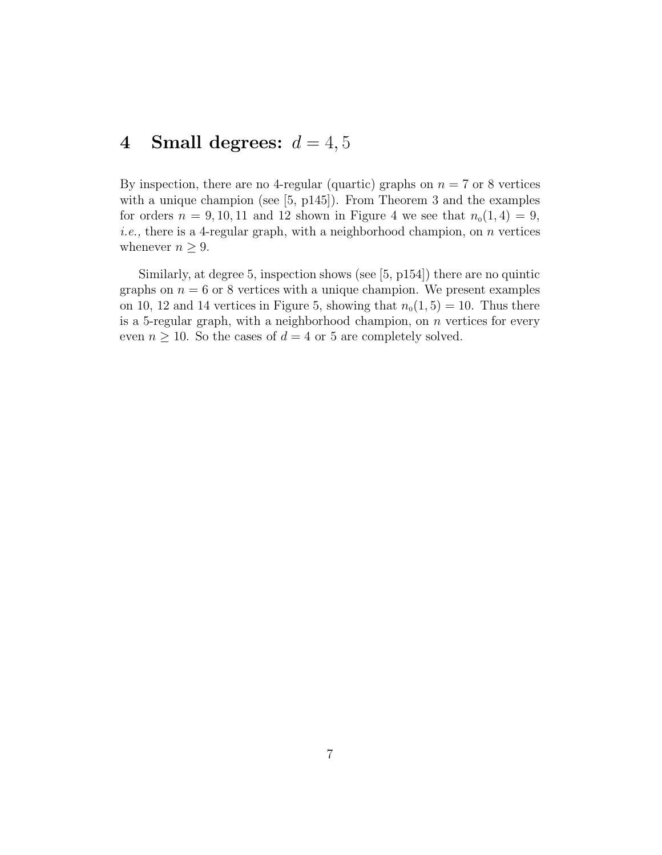# **4** Small degrees:  $d = 4, 5$

By inspection, there are no 4-regular (quartic) graphs on  $n = 7$  or 8 vertices with a unique champion (see [5, p145]). From Theorem 3 and the examples for orders  $n = 9, 10, 11$  and 12 shown in Figure 4 we see that  $n_0(1, 4) = 9$ , *i.e.*, there is a 4-regular graph, with a neighborhood champion, on *n* vertices whenever  $n \geq 9$ .

Similarly, at degree 5, inspection shows (see [5, p154]) there are no quintic graphs on  $n = 6$  or 8 vertices with a unique champion. We present examples on 10, 12 and 14 vertices in Figure 5, showing that  $n_0(1, 5) = 10$ . Thus there is a 5-regular graph, with a neighborhood champion, on n vertices for every even  $n \geq 10$ . So the cases of  $d = 4$  or 5 are completely solved.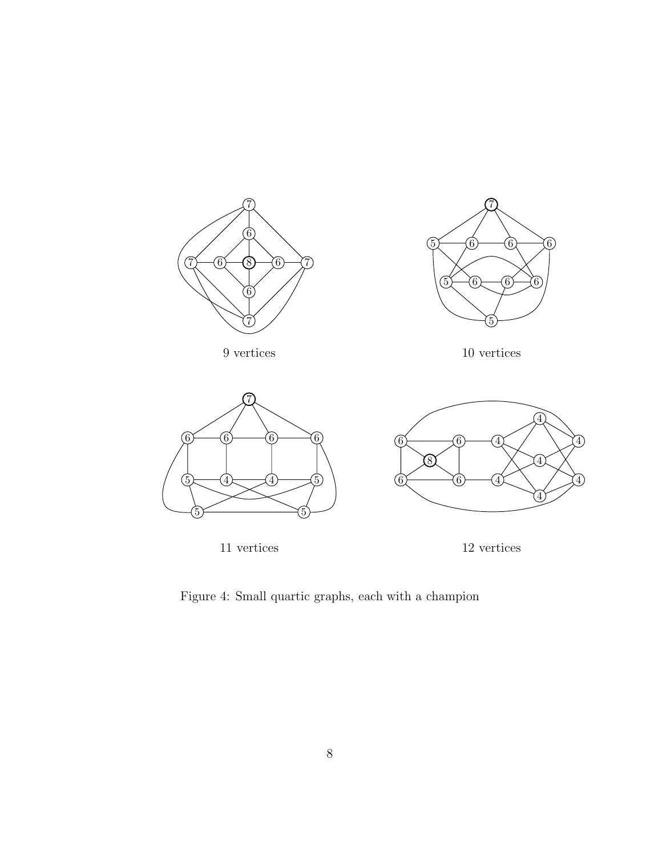



9 vertices





Figure 4: Small quartic graphs, each with a champion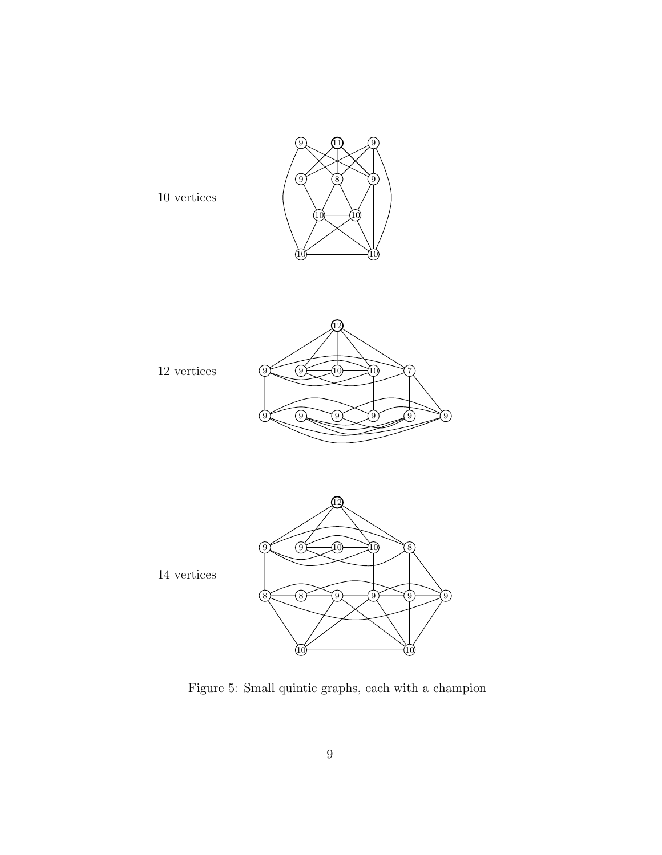

Figure 5: Small quintic graphs, each with a champion